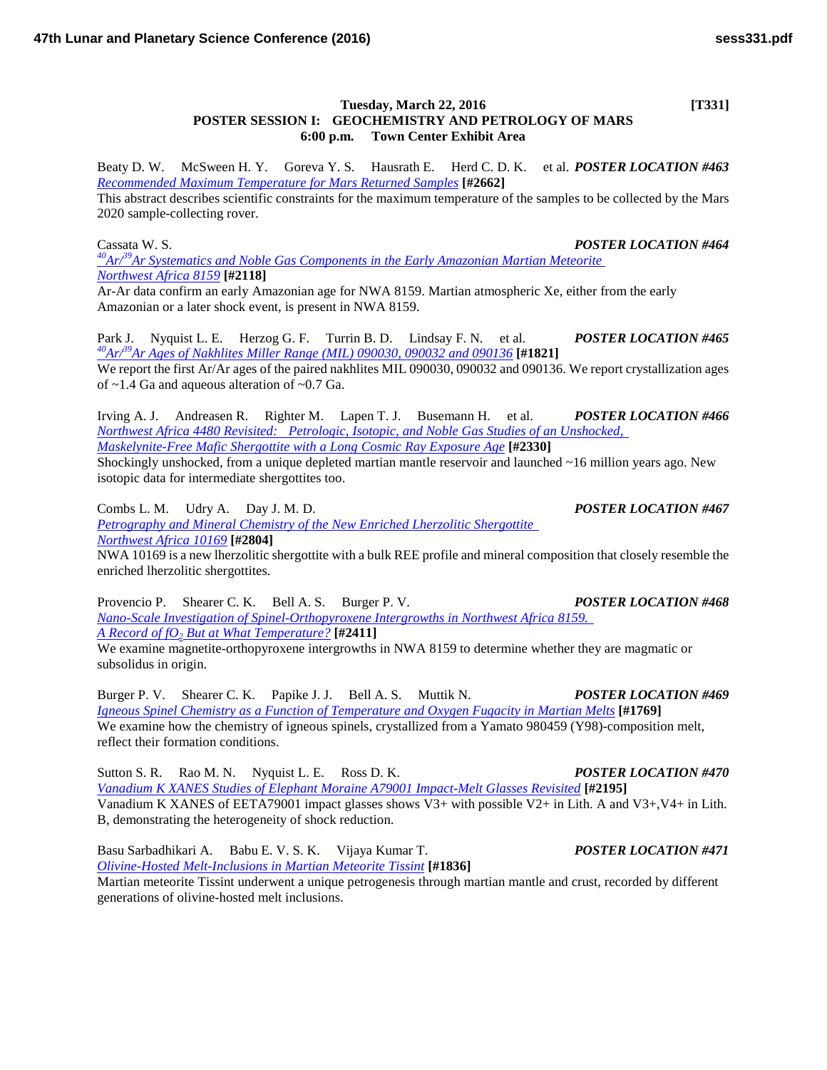## **Tuesday, March 22, 2016 [T331] POSTER SESSION I: GEOCHEMISTRY AND PETROLOGY OF MARS 6:00 p.m. Town Center Exhibit Area**

Beaty D. W. McSween H. Y. Goreva Y. S. Hausrath E. Herd C. D. K. et al. *POSTER LOCATION #463 [Recommended Maximum Temperature for Mars Returned](http://www.hou.usra.edu/meetings/lpsc2016/pdf/2662.pdf) Samples* **[#2662]**

This abstract describes scientific constraints for the maximum temperature of the samples to be collected by the Mars 2020 sample-collecting rover.

Cassata W. S. *POSTER LOCATION #464 [40Ar/39Ar Systematics and Noble Gas Components in the Early Amazonian Martian Meteorite](http://www.hou.usra.edu/meetings/lpsc2016/pdf/2118.pdf)  [Northwest](http://www.hou.usra.edu/meetings/lpsc2016/pdf/2118.pdf) Africa 8159* **[#2118]**

Ar-Ar data confirm an early Amazonian age for NWA 8159. Martian atmospheric Xe, either from the early Amazonian or a later shock event, is present in NWA 8159.

Park J. Nyquist L. E. Herzog G. F. Turrin B. D. Lindsay F. N. et al. *POSTER LOCATION #465 [40Ar/39Ar Ages of Nakhlites Miller Range \(MIL\) 090030, 090032 and](http://www.hou.usra.edu/meetings/lpsc2016/pdf/1821.pdf) <sup>090136</sup>* **[#1821]** We report the first Ar/Ar ages of the paired nakhlites MIL 090030, 090032 and 090136. We report crystallization ages of ~1.4 Ga and aqueous alteration of ~0.7 Ga.

Irving A. J. Andreasen R. Righter M. Lapen T. J. Busemann H. et al. *POSTER LOCATION #466 Northwest Africa 4480 [Revisited: Petrologic, Isotopic, and Noble Gas Studies of an Unshocked,](http://www.hou.usra.edu/meetings/lpsc2016/pdf/2330.pdf)  [Maskelynite-Free Mafic Shergottite with a Long Cosmic Ray Exposure](http://www.hou.usra.edu/meetings/lpsc2016/pdf/2330.pdf) Age* **[#2330]**

Shockingly unshocked, from a unique depleted martian mantle reservoir and launched ~16 million years ago. New isotopic data for intermediate shergottites too.

Combs L. M. Udry A. Day J. M. D. *POSTER LOCATION #467 [Petrography and Mineral Chemistry of the New Enriched Lherzolitic Shergottite](http://www.hou.usra.edu/meetings/lpsc2016/pdf/2804.pdf)  [Northwest Africa](http://www.hou.usra.edu/meetings/lpsc2016/pdf/2804.pdf) 10169* **[#2804]**

NWA 10169 is a new lherzolitic shergottite with a bulk REE profile and mineral composition that closely resemble the enriched lherzolitic shergottites.

Provencio P. Shearer C. K. Bell A. S. Burger P. V. *POSTER LOCATION #468 [Nano-Scale Investigation of Spinel-Orthopyroxene Intergrowths in Northwest Africa 8159.](http://www.hou.usra.edu/meetings/lpsc2016/pdf/2411.pdf)  [A Record of fO2](http://www.hou.usra.edu/meetings/lpsc2016/pdf/2411.pdf) But at What Temperature?* **[#2411]**

We examine magnetite-orthopyroxene intergrowths in NWA 8159 to determine whether they are magmatic or subsolidus in origin.

Burger P. V. Shearer C. K. Papike J. J. Bell A. S. Muttik N. *POSTER LOCATION #469 [Igneous Spinel Chemistry as a Function of Temperature and Oxygen Fugacity in Martian](http://www.hou.usra.edu/meetings/lpsc2016/pdf/1769.pdf) Melts* **[#1769]** We examine how the chemistry of igneous spinels, crystallized from a Yamato 980459 (Y98)-composition melt, reflect their formation conditions.

Sutton S. R. Rao M. N. Nyquist L. E. Ross D. K. *POSTER LOCATION #470 [Vanadium K XANES Studies of Elephant Moraine A79001 Impact-Melt Glasses](http://www.hou.usra.edu/meetings/lpsc2016/pdf/2195.pdf) Revisited* **[#2195]** Vanadium K XANES of EETA79001 impact glasses shows V3+ with possible V2+ in Lith. A and V3+,V4+ in Lith. B, demonstrating the heterogeneity of shock reduction.

Basu Sarbadhikari A. Babu E. V. S. K. Vijaya Kumar T. *POSTER LOCATION #471 [Olivine-Hosted Melt-Inclusions in Martian Meteorite](http://www.hou.usra.edu/meetings/lpsc2016/pdf/1836.pdf) Tissint* **[#1836]**

Martian meteorite Tissint underwent a unique petrogenesis through martian mantle and crust, recorded by different generations of olivine-hosted melt inclusions.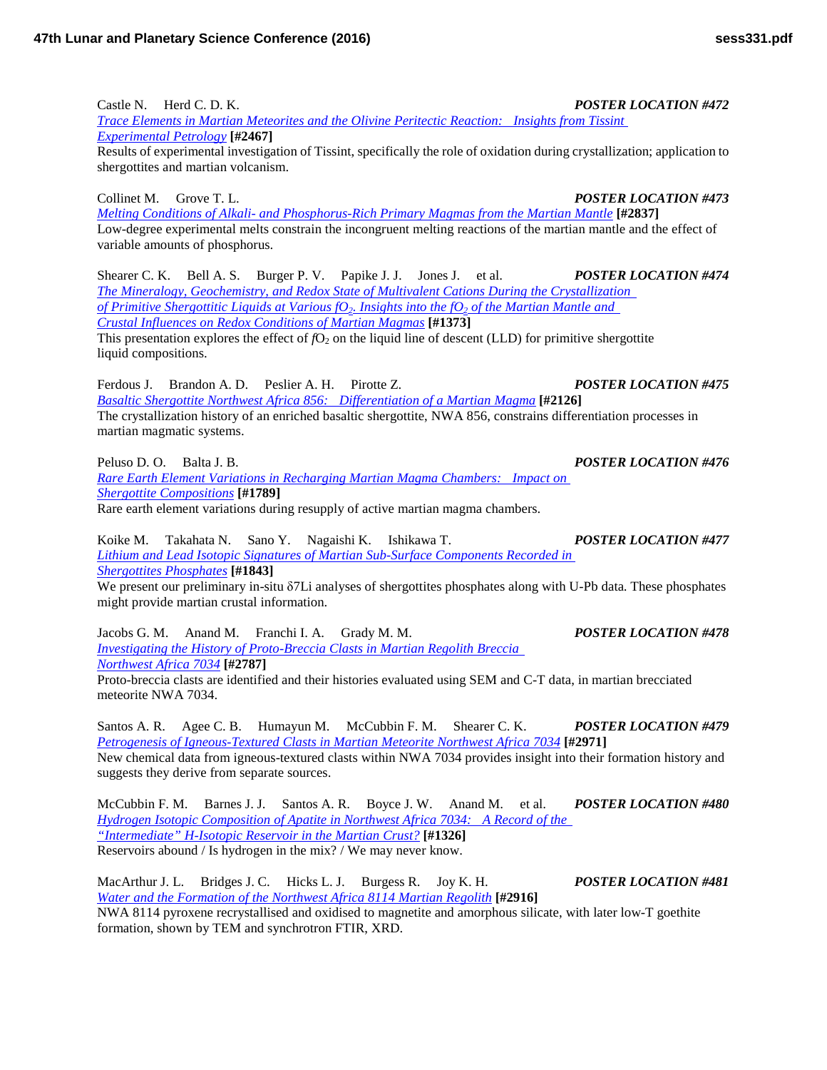Castle N. Herd C. D. K. *POSTER LOCATION #472 [Trace Elements in Martian Meteorites and the Olivine Peritectic Reaction: Insights from Tissint](http://www.hou.usra.edu/meetings/lpsc2016/pdf/2467.pdf)  [Experimental](http://www.hou.usra.edu/meetings/lpsc2016/pdf/2467.pdf) Petrology* **[#2467]**

Results of experimental investigation of Tissint, specifically the role of oxidation during crystallization; application to shergottites and martian volcanism.

Collinet M. Grove T. L. *POSTER LOCATION #473 Melting Conditions of Alkali- [and Phosphorus-Rich Primary Magmas from the Martian](http://www.hou.usra.edu/meetings/lpsc2016/pdf/2837.pdf) Mantle* **[#2837]** Low-degree experimental melts constrain the incongruent melting reactions of the martian mantle and the effect of variable amounts of phosphorus.

Shearer C. K. Bell A. S. Burger P. V. Papike J. J. Jones J. et al. *POSTER LOCATION #474 [The Mineralogy, Geochemistry, and Redox State of Multivalent Cations During the Crystallization](http://www.hou.usra.edu/meetings/lpsc2016/pdf/1373.pdf)  of Primitive Shergottitic Liquids at Various fO<sub>2</sub>. Insights into the fO<sub>2</sub> of the Martian Mantle and [Crustal Influences on Redox Conditions of Martian](http://www.hou.usra.edu/meetings/lpsc2016/pdf/1373.pdf) Magmas* **[#1373]** This presentation explores the effect of  $fO_2$  on the liquid line of descent (LLD) for primitive shergottite

liquid compositions.

Ferdous J. Brandon A. D. Peslier A. H. Pirotte Z. *POSTER LOCATION #475 [Basaltic Shergottite Northwest Africa 856: Differentiation of a Martian](http://www.hou.usra.edu/meetings/lpsc2016/pdf/2126.pdf) Magma* **[#2126]** The crystallization history of an enriched basaltic shergottite, NWA 856, constrains differentiation processes in martian magmatic systems.

Peluso D. O. Balta J. B. *POSTER LOCATION #476 [Rare Earth Element Variations in Recharging Martian Magma Chambers: Impact on](http://www.hou.usra.edu/meetings/lpsc2016/pdf/1789.pdf)  Shergottite [Compositions](http://www.hou.usra.edu/meetings/lpsc2016/pdf/1789.pdf)* **[#1789]** Rare earth element variations during resupply of active martian magma chambers.

Koike M. Takahata N. Sano Y. Nagaishi K. Ishikawa T. *POSTER LOCATION #477 [Lithium and Lead Isotopic Signatures of Martian Sub-Surface Components Recorded in](http://www.hou.usra.edu/meetings/lpsc2016/pdf/1843.pdf)  [Shergottites](http://www.hou.usra.edu/meetings/lpsc2016/pdf/1843.pdf) Phosphates* **[#1843]**

We present our preliminary in-situ δ7Li analyses of shergottites phosphates along with U-Pb data. These phosphates might provide martian crustal information.

Jacobs G. M. Anand M. Franchi I. A. Grady M. M. *POSTER LOCATION #478 [Investigating the History of Proto-Breccia Clasts in Martian Regolith Breccia](http://www.hou.usra.edu/meetings/lpsc2016/pdf/2787.pdf)  [Northwest Africa](http://www.hou.usra.edu/meetings/lpsc2016/pdf/2787.pdf) 7034* **[#2787]**

Proto-breccia clasts are identified and their histories evaluated using SEM and C-T data, in martian brecciated meteorite NWA 7034.

Santos A. R. Agee C. B. Humayun M. McCubbin F. M. Shearer C. K. *POSTER LOCATION #479 [Petrogenesis of Igneous-Textured Clasts in Martian Meteorite Northwest Africa](http://www.hou.usra.edu/meetings/lpsc2016/pdf/2971.pdf) 7034* **[#2971]** New chemical data from igneous-textured clasts within NWA 7034 provides insight into their formation history and suggests they derive from separate sources.

McCubbin F. M. Barnes J. J. Santos A. R. Boyce J. W. Anand M. et al. *POSTER LOCATION #480 [Hydrogen Isotopic Composition of Apatite in Northwest Africa 7034: A Record of the](http://www.hou.usra.edu/meetings/lpsc2016/pdf/1326.pdf)  ["Intermediate" H-Isotopic Reservoir in the Martian](http://www.hou.usra.edu/meetings/lpsc2016/pdf/1326.pdf) Crust?* **[#1326]** Reservoirs abound / Is hydrogen in the mix? / We may never know.

MacArthur J. L. Bridges J. C. Hicks L. J. Burgess R. Joy K. H. *POSTER LOCATION #481 [Water and the Formation of the Northwest Africa](http://www.hou.usra.edu/meetings/lpsc2016/pdf/2916.pdf) 8114 Martian Regolith* **[#2916]**

NWA 8114 pyroxene recrystallised and oxidised to magnetite and amorphous silicate, with later low-T goethite formation, shown by TEM and synchrotron FTIR, XRD.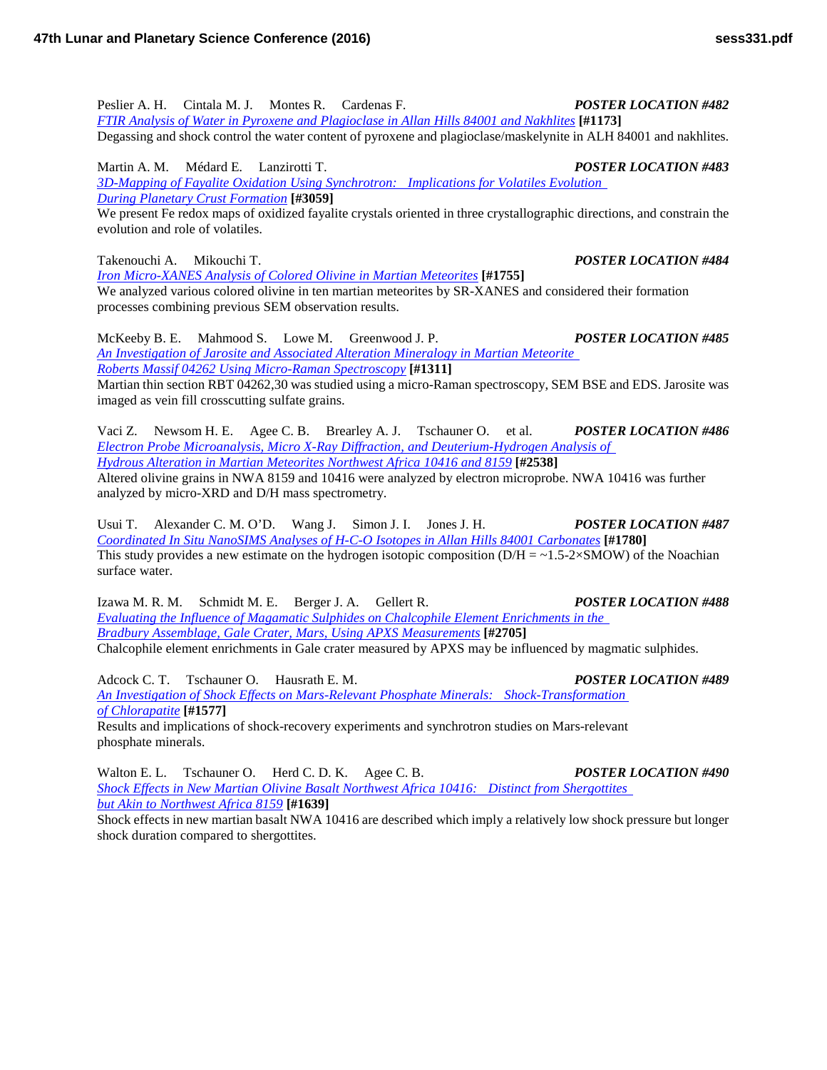Peslier A. H. Cintala M. J. Montes R. Cardenas F. *POSTER LOCATION #482 [FTIR Analysis of Water in Pyroxene and Plagioclase in Allan Hills 84001 and](http://www.hou.usra.edu/meetings/lpsc2016/pdf/1173.pdf) Nakhlites* **[#1173]** Degassing and shock control the water content of pyroxene and plagioclase/maskelynite in ALH 84001 and nakhlites.

Martin A. M. Médard E. Lanzirotti T. *POSTER LOCATION #483 [3D-Mapping of Fayalite Oxidation Using Synchrotron: Implications for Volatiles Evolution](http://www.hou.usra.edu/meetings/lpsc2016/pdf/3059.pdf)  [During Planetary Crust](http://www.hou.usra.edu/meetings/lpsc2016/pdf/3059.pdf) Formation* **[#3059]**

We present Fe redox maps of oxidized fayalite crystals oriented in three crystallographic directions, and constrain the evolution and role of volatiles.

Takenouchi A. Mikouchi T. *POSTER LOCATION #484*

*[Iron Micro-XANES Analysis of Colored Olivine in Martian](http://www.hou.usra.edu/meetings/lpsc2016/pdf/1755.pdf) Meteorites* **[#1755]** We analyzed various colored olivine in ten martian meteorites by SR-XANES and considered their formation processes combining previous SEM observation results.

McKeeby B. E. Mahmood S. Lowe M. Greenwood J. P. *POSTER LOCATION #485 [An Investigation of Jarosite and Associated Alteration Mineralogy in Martian Meteorite](http://www.hou.usra.edu/meetings/lpsc2016/pdf/1311.pdf)  [Roberts Massif 04262 Using Micro-Raman](http://www.hou.usra.edu/meetings/lpsc2016/pdf/1311.pdf) Spectroscopy* **[#1311]**

Martian thin section RBT 04262,30 was studied using a micro-Raman spectroscopy, SEM BSE and EDS. Jarosite was imaged as vein fill crosscutting sulfate grains.

Vaci Z. Newsom H. E. Agee C. B. Brearley A. J. Tschauner O. et al. *POSTER LOCATION #486 [Electron Probe Microanalysis, Micro X-Ray Diffraction, and Deuterium-Hydrogen Analysis of](http://www.hou.usra.edu/meetings/lpsc2016/pdf/2538.pdf)  [Hydrous Alteration in Martian Meteorites Northwest Africa 10416 and](http://www.hou.usra.edu/meetings/lpsc2016/pdf/2538.pdf) 8159* **[#2538]** Altered olivine grains in NWA 8159 and 10416 were analyzed by electron microprobe. NWA 10416 was further

analyzed by micro-XRD and D/H mass spectrometry.

Usui T. Alexander C. M. O'D. Wang J. Simon J. I. Jones J. H. *POSTER LOCATION #487 [Coordinated In Situ NanoSIMS Analyses of H-C-O Isotopes in Allan Hills 84001](http://www.hou.usra.edu/meetings/lpsc2016/pdf/1780.pdf) Carbonates* **[#1780]** This study provides a new estimate on the hydrogen isotopic composition ( $D/H = -1.5-2\times SMOW$ ) of the Noachian surface water.

Izawa M. R. M. Schmidt M. E. Berger J. A. Gellert R. *POSTER LOCATION #488 [Evaluating the Influence of Magamatic Sulphides on Chalcophile Element Enrichments in the](http://www.hou.usra.edu/meetings/lpsc2016/pdf/2705.pdf)  [Bradbury Assemblage, Gale Crater, Mars, Using APXS](http://www.hou.usra.edu/meetings/lpsc2016/pdf/2705.pdf) Measurements* **[#2705]** Chalcophile element enrichments in Gale crater measured by APXS may be influenced by magmatic sulphides.

Adcock C. T. Tschauner O. Hausrath E. M. *POSTER LOCATION #489 [An Investigation of Shock Effects on Mars-Relevant Phosphate Minerals: Shock-Transformation](http://www.hou.usra.edu/meetings/lpsc2016/pdf/1577.pdf)  of [Chlorapatite](http://www.hou.usra.edu/meetings/lpsc2016/pdf/1577.pdf)* **[#1577]** Results and implications of shock-recovery experiments and synchrotron studies on Mars-relevant phosphate minerals.

Walton E. L. Tschauner O. Herd C. D. K. Agee C. B. *POSTER LOCATION #490 [Shock Effects in New Martian Olivine Basalt Northwest Africa 10416: Distinct from Shergottites](http://www.hou.usra.edu/meetings/lpsc2016/pdf/1639.pdf)  [but Akin to Northwest Africa](http://www.hou.usra.edu/meetings/lpsc2016/pdf/1639.pdf) 8159* **[#1639]**

Shock effects in new martian basalt NWA 10416 are described which imply a relatively low shock pressure but longer shock duration compared to shergottites.